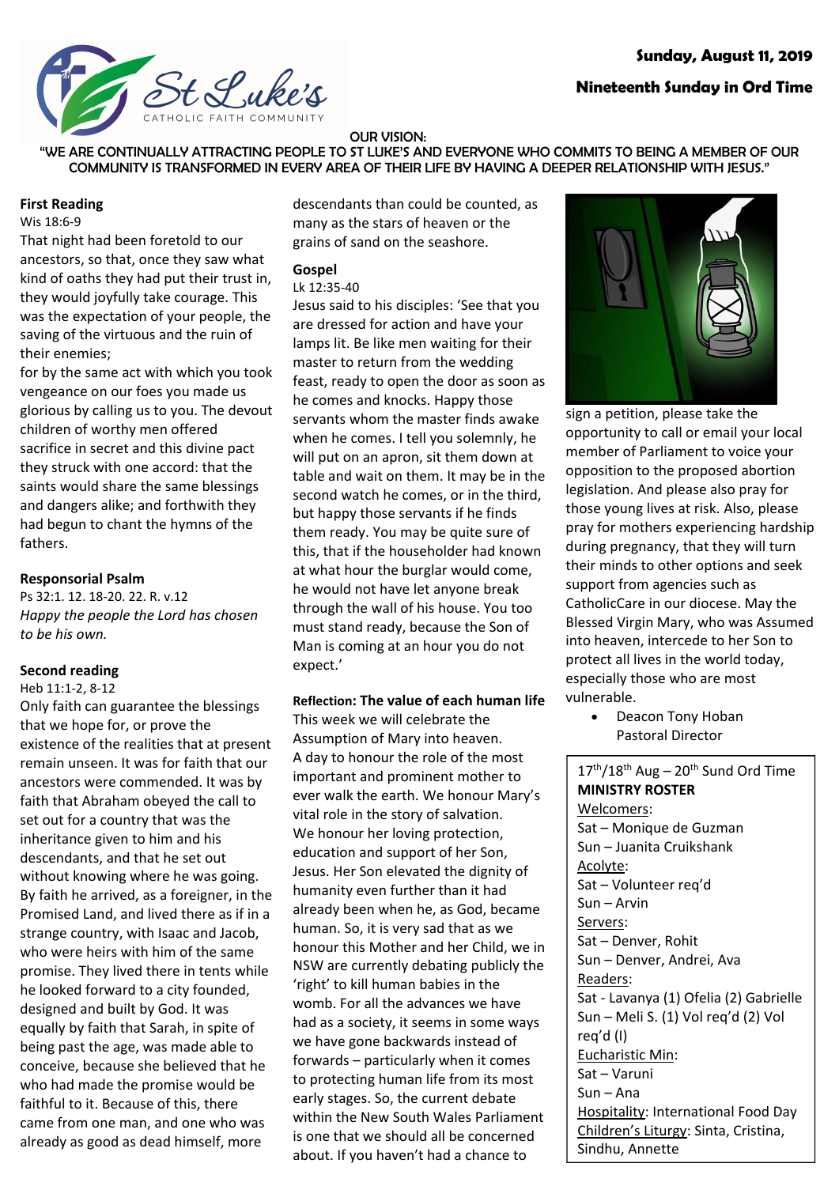# **Sunday, August 11, 2019**



# **Nineteenth Sunday in Ord Time**

#### OUR VISION:

"WE ARE CONTINUALLY ATTRACTING PEOPLE TO ST LUKE'S AND EVERYONE WHO COMMITS TO BEING A MEMBER OF OUR COMMUNITY IS TRANSFORMED IN EVERY AREA OF THEIR LIFE BY HAVING A DEEPER RELATIONSHIP WITH JESUS."

### **First Reading**

Wis 18:6-9

That night had been foretold to our ancestors, so that, once they saw what kind of oaths they had put their trust in, they would joyfully take courage. This was the expectation of your people, the saving of the virtuous and the ruin of their enemies;

for by the same act with which you took vengeance on our foes you made us glorious by calling us to you. The devout children of worthy men offered sacrifice in secret and this divine pact they struck with one accord: that the saints would share the same blessings and dangers alike; and forthwith they had begun to chant the hymns of the fathers.

### **Responsorial Psalm**

Ps 32:1. 12. 18-20. 22. R. v.12 *Happy the people the Lord has chosen to be his own.*

## **Second reading**

Heb 11:1-2, 8-12

Only faith can guarantee the blessings that we hope for, or prove the existence of the realities that at present remain unseen. It was for faith that our ancestors were commended. It was by faith that Abraham obeyed the call to set out for a country that was the inheritance given to him and his descendants, and that he set out without knowing where he was going. By faith he arrived, as a foreigner, in the Promised Land, and lived there as if in a strange country, with Isaac and Jacob, who were heirs with him of the same promise. They lived there in tents while he looked forward to a city founded, designed and built by God. It was equally by faith that Sarah, in spite of being past the age, was made able to conceive, because she believed that he who had made the promise would be faithful to it. Because of this, there came from one man, and one who was already as good as dead himself, more

descendants than could be counted, as many as the stars of heaven or the grains of sand on the seashore.

# **Gospel**

# Lk 12:35-40

Jesus said to his disciples: 'See that you are dressed for action and have your lamps lit. Be like men waiting for their master to return from the wedding feast, ready to open the door as soon as he comes and knocks. Happy those servants whom the master finds awake when he comes. I tell you solemnly, he will put on an apron, sit them down at table and wait on them. It may be in the second watch he comes, or in the third, but happy those servants if he finds them ready. You may be quite sure of this, that if the householder had known at what hour the burglar would come, he would not have let anyone break through the wall of his house. You too must stand ready, because the Son of Man is coming at an hour you do not expect.'

## **Reflection: The value of each human life**

This week we will celebrate the Assumption of Mary into heaven. A day to honour the role of the most important and prominent mother to ever walk the earth. We honour Mary's vital role in the story of salvation. We honour her loving protection, education and support of her Son, Jesus. Her Son elevated the dignity of humanity even further than it had already been when he, as God, became human. So, it is very sad that as we honour this Mother and her Child, we in NSW are currently debating publicly the 'right' to kill human babies in the womb. For all the advances we have had as a society, it seems in some ways we have gone backwards instead of forwards – particularly when it comes to protecting human life from its most early stages. So, the current debate within the New South Wales Parliament is one that we should all be concerned about. If you haven't had a chance to



sign a petition, please take the opportunity to call or email your local member of Parliament to voice your opposition to the proposed abortion legislation. And please also pray for those young lives at risk. Also, please pray for mothers experiencing hardship during pregnancy, that they will turn their minds to other options and seek support from agencies such as CatholicCare in our diocese. May the Blessed Virgin Mary, who was Assumed into heaven, intercede to her Son to protect all lives in the world today, especially those who are most vulnerable.

• Deacon Tony Hoban Pastoral Director

 $17<sup>th</sup>/18<sup>th</sup>$  Aug – 20<sup>th</sup> Sund Ord Time **MINISTRY ROSTER** Welcomers: Sat – Monique de Guzman Sun – Juanita Cruikshank Acolyte: Sat – Volunteer req'd Sun – Arvin Servers: Sat – Denver, Rohit Sun – Denver, Andrei, Ava Readers: Sat - Lavanya (1) Ofelia (2) Gabrielle Sun – Meli S. (1) Vol req'd (2) Vol req'd (I) Eucharistic Min: Sat – Varuni Sun – Ana Hospitality: International Food Day Children's Liturgy: Sinta, Cristina, Sindhu, Annette